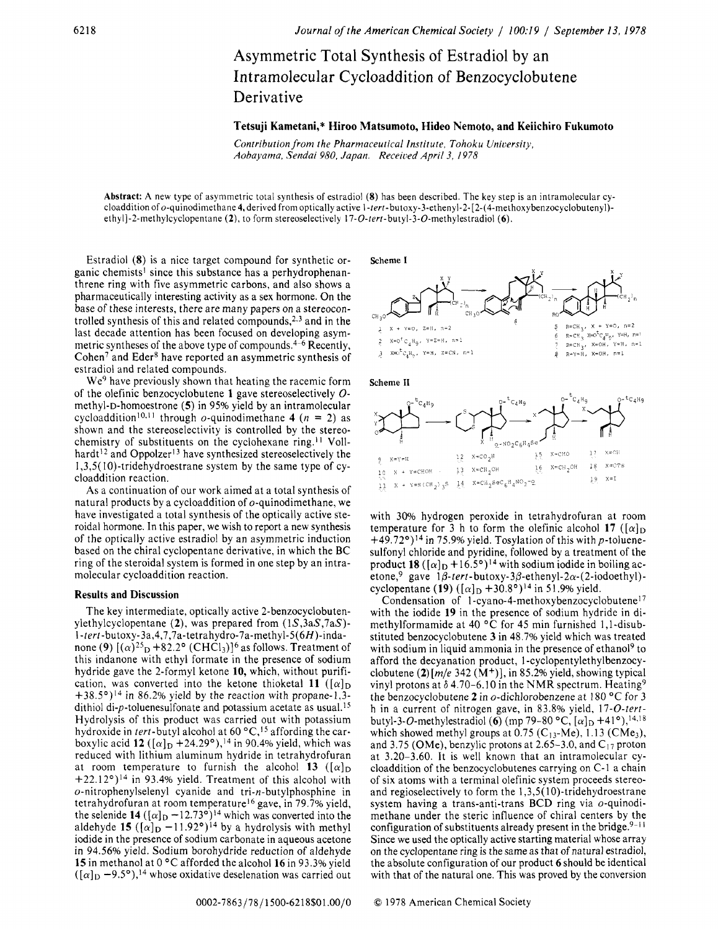Asymmetric Total Synthesis of Estradiol by an Intramolecular Cycloaddition of Benzocyclobutene Derivative

# **Tetsuji Kametani," Hiroo Matsumoto, Hideo Nemoto, and Keiichiro Fukumoto**

Contribution from the Pharmaceutical Institute, Tohoku University, Aobayama, Sendai 980, Japan. Receioed April *3, I978* 

**Abstract: A** new type of asymmetric total synthesis of estradiol **(8)** has been described. The key step is an intramolecular cycloaddition of o-quinodimethane **4,** derived from optically active 1-tert-butoxy-3-ethenyl-2-[2-(4-methoxybenzocyclobutenyl)ethyl]-2-methylcyclopentane **(2),** to form stereoselectively **17-0-tert-butyl-3-0-methylestradiol** *(6).* 

Estradiol **(8)** is a nice target compound for synthetic organic chemists' since this substance has a perhydrophenanthrene ring with five asymmetric carbons, and also shows a pharmaceutically interesting activity as a sex hormone. On the base of these interests, there are many papers on a stereocontrolled synthesis of this and related compounds, $2.3$  and in the last decade attention has been focused on developing asymmetric syntheses of the above type of compounds. $4-6$  Recently, Cohen<sup>7</sup> and Eder<sup>8</sup> have reported an asymmetric synthesis of estradiol and related compounds.

We<sup>9</sup> have previously shown that heating the racemic form of the olefinic benzocyclobutene **1** gave stereoselectively *0*  methyl-D-homoestrone *(5)* in 95% yield by an intramolecular cycloaddition<sup>10,11</sup> through  $o$ -quinodimethane **4**  $(n = 2)$  as shown and the stereoselectivity is controlled by the stereochemistry of substituents on the cyclohexane ring.<sup>11</sup> Vollhardt<sup>12</sup> and Oppolzer<sup>13</sup> have synthesized stereoselectively the 1,3,5( IO)-tridehydroestrane system by the same type of cycloaddition reaction.

**As** a continuation of our work aimed at a total synthesis of natural products by a cycloaddition of  $o$ -quinodimethane, we have investigated a total synthesis of the optically active steroidal hormone. In this paper, we wish to report a new synthesis of the optically active estradiol by an asymmetric induction based on the chiral cyclopentane derivative, in which the BC ring of the steroidal system is formed in one step by an intramolecular cycloaddition reaction.

### **Results and Discussion**

The key intermediate, optically active 2-benzocyclobutenylethylcyclopentane **(2)**, was prepared from  $(1S, 3aS, 7aS)$ -1 **-tert-butoxy-3a,4,7,7a-tetrahydro-7a-methyl-5(6H)-inda**none **(9)**  $[(\alpha)^{25}D + 82.2^{\circ}$  (CHCl<sub>3</sub>)<sup>6</sup> as follows. Treatment of this indanone with ethyl formate in the presence of sodium hydride gave the 2-formyl ketone **10,** which, without purification, was converted into the ketone thioketal 11  $([\alpha]_D)$  $+38.5^{\circ}$ <sup>14</sup> in 86.2% yield by the reaction with propane-1,3dithiol di- $p$ -toluenesulfonate and potassium acetate as usual.<sup>15</sup> Hydrolysis of this product was carried out with potassium hydroxide in tert-butyl alcohol at 60  $^{\circ}$ C,<sup>15</sup> affording the carboxylic acid **12**  $([\alpha]_D + 24.29^{\circ})$ ,<sup>14</sup> in 90.4% yield, which was reduced with lithium aluminum hydride in tetrahydrofuran at room temperature to furnish the alcohol **13**  $([\alpha]_D$  $+22.12^{\circ}$ <sup>14</sup> in 93.4% yield. Treatment of this alcohol with o-nitrophenylselenyl cyanide and tri-n-butylphosphine in tetrahydrofuran at room temperature16 gave, in 79.7% yield, the selenide **14**  $([\alpha]_D -12.73^{\circ})^{14}$  which was converted into the aldehyde 15  $([\alpha]_D -11.92^{\circ})^{14}$  by a hydrolysis with methyl iodide in the presence of sodium carbonate in aqueous acetone in 94.56% yield. Sodium borohydride reduction of aldehyde **15** in methanol at 0 "C afforded the alcohol **16** in 93.3% yield  $([\alpha]_D - 9.5^\circ)$ ,<sup>14</sup> whose oxidative deselenation was carried out

**Scheme I** 







with 30% hydrogen peroxide in tetrahydrofuran at room temperature for 3 h to form the olefinic alcohol 17  $([\alpha]_D$  $+49.72^{\circ}$ <sup>14</sup> in 75.9% yield. Tosylation of this with p-toluenesulfonyl chloride and pyridine, followed by a treatment of the product 18  $([\alpha]_D + 16.5^\circ)^{14}$  with sodium iodide in boiling acetone,<sup>9</sup> gave  $1\beta$ -tert-butoxy-3 $\beta$ -ethenyl-2 $\alpha$ -(2-iodoethyl)cyclopentane **(19)**  $([\alpha]_D + 30.8^\circ)^{14}$  in 51.9% yield.

Condensation of 1-cyano-4-methoxybenzocyclobutene<sup>17</sup> with the iodide **19** in the presence of sodium hydride in dimethylformamide at 40 °C for 45 min furnished 1,1-disubstituted benzocyclobutene **3** in 48.7% yield which was treated with sodium in liquid ammonia in the presence of ethanol<sup>9</sup> to afford the decyanation product, 1 **-cyclopentylethylbenzocy**clobutene  $(2)$   $[m/e]$  342  $(M<sup>+</sup>)$ , in 85.2% yield, showing typical vinyl protons at  $\delta$  4.70–6.10 in the NMR spectrum. Heating<sup>9</sup> the benzocyclobutene **2** in o-dichlorobenzene at 180 "C for 3 h in a current of nitrogen gave, in 83.8% yield, 17-O-tertbutyl-3-*O*-methylestradiol **(6)** (mp 79-80 °C,  $[\alpha]_D + 41$ °),<sup>14,18</sup> which showed methyl groups at  $0.75$  (C<sub>13</sub>-Me), 1.13 (CMe<sub>3</sub>), and 3.75 (OMe), benzylic protons at 2.65-3.0, and **C17** proton at 3.20-3.60. It is well known that an intramolecular cycloaddition of the benzocyclobutenes carrying on C-1 a chain of six atoms with a terminal olefinic system proceeds stereoand regioselectively to form the 1,3,5( 10)-tridehydroestrane system having a trans-anti-trans BCD ring via o-quinodimethane under the steric influence of chiral centers by the configuration of substituents already present in the bridge.<sup>9-11</sup> Since we used the optically active starting material whose array on the cyclopentane ring is the same as that of natural estradiol, the absolute configuration of our product *6* should be identical with that of the natural one. This was proved by the conversion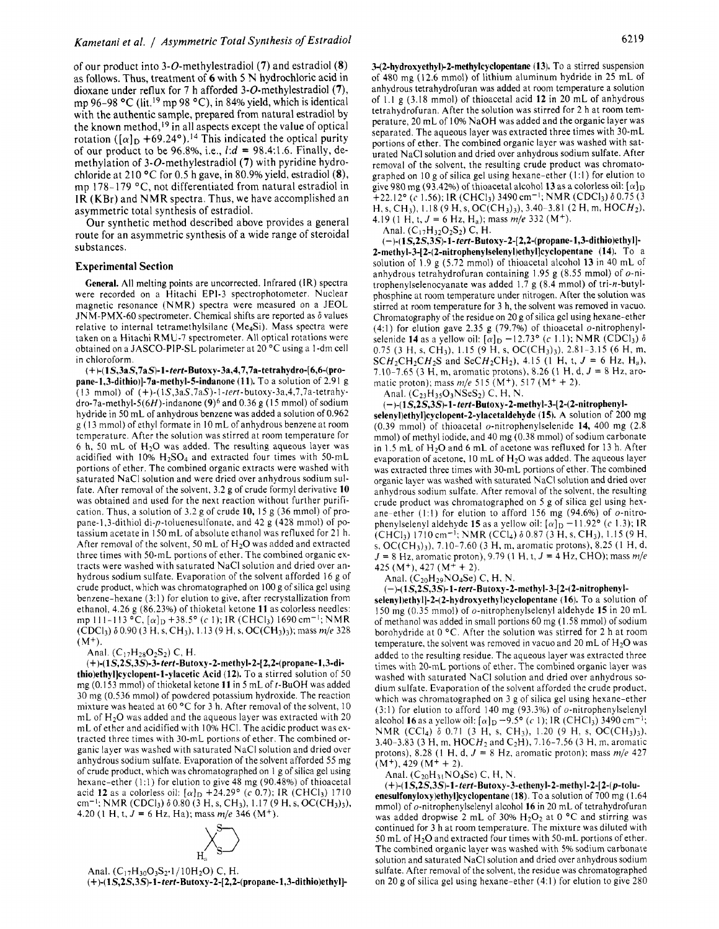of our product into 3-0-methylestradiol **(7)** and estradiol **(8)**  as follows. Thus, treatment of *6* with 5 N hydrochloric acid in dioxane under reflux for 7 h afforded 3-0-methylestradiol **(7),**  mp 96-98  $^{\circ}$ C (lit.<sup>19</sup> mp 98  $^{\circ}$ C), in 84% yield, which is identical with the authentic sample, prepared from natural estradiol by the known method,<sup>19</sup> in all aspects except the value of optical rotation  $([\alpha]_D + 69.24^{\circ})$ .<sup>14</sup> This indicated the optical purity of our product to be 96.8%, Le., *1:d* = 98.4:1.6. Finally, demethylation of 3-0-methylestradiol **(7)** with pyridine hydrochloride at 210 "C for 0.5 h gave, in 80.9% yield, estradiol **(8),**  mp 178-179 °C, not differentiated from natural estradiol in **1R** (KBr) and NMR spectra. Thus, we have accomplished an asymmetric total synthesis of estradiol.

Our synthetic method described above provides a general route for an asymmetric synthesis of a wide range of steroidal substances.

## **Experimental Section**

**General.** All melting points are uncorrected. Infrared (IR) spectra were recorded on a Hitachi EPI-3 spectrophotometer. Nuclear magnetic resonance (NMR) spectra were measured on a JEOL JNM-PMX-60 spectrometer. Chemical shifts are reported as  $\delta$  values relative to internal tetramethylsilane (Me4Si). Mass spectra were taken on a Hitachi RMU-7 spectrometer. All optical rotations were obtained on a JASCO-PIP-SL polarimeter at 20 °C using a 1-dm cell in chloroform.

**(+)-(I S,3aS,7aS)-l-fert-Butoxy-3a,4,7,7a-tetrahydro-[6,6-(propane-1,3-dithio)]-7a-rnethyl-5-indanone (1 1).** To a solution of 2.91 g (I 3 mmol) of (+)-( **IS,3aS,7aS)-l-tert-butoxy-3a,4,7,7a-tetrahy**dro-7a-methyl-5( $6H$ )-indanone (9)<sup>6</sup> and 0.36 g (15 mmol) of sodium hydride in 50 mL of anhydrous benzene was added a solution of 0.962 g (13 mmol) of ethyl formate in 10 mL of anhydrous benzene at room temperature, After the solution was stirred at room temperature for 6 h, 50 mL of  $H_2O$  was added. The resulting aqueous layer was acidified with  $10\%$  H<sub>2</sub>SO<sub>4</sub> and extracted four times with 50-mL portions of ether. The combined organic extracts were washed with saturated NaCl solution and were dried over anhydrous sodium sulfate. After removal of the solvent, 3.2 g of crude formyl derivative **10**  was obtained and used for the next reaction without further purification. Thus, a solution of 3.2 g of crude **10,** 15 g (36 mmol) of propane-I ,3-dithiol di-p-toluenesulfonate, and 42 g (428 mmol) of potassium acetate in I50 mL of absolute ethanol was refluxed for 21 h. After removal of the solvent, 50 mL of  $H<sub>2</sub>O$  was added and extracted three times with 50-mL portions of ether. The combined organic extracts were washed with saturated NaCl solution and dried over anhydrous sodium sulfate. Evaporation of the solvent afforded 16 g of crude product, which was chromatographed on 100 g of silica gel using benzene-hexane  $(3:1)$  for elution to give, after recrystallization from ethanol, 4.26 g (86.23%) of thioketal ketone **11** as colorless needles: (CDCl<sub>3</sub>)  $\delta$  0.90 (3 H, s, CH<sub>3</sub>), 1.13 (9 H, s, OC(CH<sub>3</sub>)<sub>3</sub>); mass *m*/e 328 mp 111-113 °C,  $[\alpha]_D$  +38.5° (c 1); IR (CHCl<sub>3</sub>) 1690 cm<sup>-1</sup>; NMR  $(M^{+})$ 

Anal.  $(C_1$ 7H<sub>28</sub>O<sub>2</sub>S<sub>2</sub>) C, H.

(+)-( **1 S,2S,3S)-3- tert-Butoxy-2-rnethyl-2-[ 2,2-(propane-l,3-dithio)ethyl]cyclopent-1-ylacetic Acid (12).** To a stirred solution of 50 mg (0.153 mmol) of thioketal ketone **11** in 5 mL of t-BuOH was added 30 mg (0.536 mmol) of powdered potassium hydroxide. The reaction mixture was heated at 60  $\degree$ C for 3 h. After removal of the solvent, 10 mL of  $H_2O$  was added and the aqueous layer was extracted with 20 mL of ether and acidified with 10% HCI. The acidic product was extracted three times with 30-mL portions of ether. The combined organic layer was washed with saturated NaCl solution and dried over anhydrous sodium sulfate. Evaporation of the solvent afforded 55 mg of crude product, which was chromatographed on 1 g of silica gel using hexane-ether (1:l) for elution to give 48 mg (90.48%) of thioacetal acid **12** as a colorless oil: *[a]~* +24.29' *(e* 0.7); IR (CHC13) 1710 cm-l; NMR (CDCI3) 6 0.80 (3 H, s, CH3), 1.17 (9 H, **s,** OC(CH3)3), 4.20 (I H, t, *J* = 6 Hz, Ha); mass *m/e* 346 (M+).



Anal.  $(C_{17}H_{30}O_3S_2 \cdot 1/10H_2O)$  C, H. (+)-( **1S,2S,3S)-l-tert-Butoxy-2-[2,2-(propane-l,3-dithio)ethyl]-**  **3-(2-hydroxyethyl)-2-methylcyclopentane (13).** To a stirred suspension of 480 mg (12.6 mmol) of lithium aluminum hydride in *25* mL of anhydrous tetrahydrofuran was added at room temperature a solution of 1.1 g (3.18 mmol) of thioacetal acid **12** in 20 mL of anhydrous tetrahydrofuran. After the solution was stirred for 2 h at room temperature, 20 mL of 10% NaOH was added and the organic layer was separated. The aqueous layer was extracted three times with 30-mL portions of ether. The combined organic layer was washed with saturated NaCl solution and dried over anhydrous sodium sulfate. After removal of the solvent, the resulting crude product was chromatographed on IO g of silica gel using hexane-ether (1:l) for elution to give 980 mg (93.42%) of thioacetal alcohol 13 as a colorless oil:  $[\alpha]_D$  $\frac{1}{2}$  +22.12° *(c* 1.56); IR *(CHCl<sub>3</sub>)* 3490 cm<sup>-1</sup>; NMR *(CDCl<sub>3</sub>)*  $\delta$  0.75 (3) H, s, CH<sub>3</sub>), 1.18 (9 H, s, OC(CH<sub>3</sub>)<sub>3</sub>), 3.40-3.81 (2 H, m, HOCH<sub>2</sub>), 4.19 (1 H, t,  $J = 6$  Hz, H<sub>a</sub>); mass  $m/e$  332 (M<sup>+</sup>).

Anal.  $(C_{17}H_{32}O_2S_2)$  C, H.

(-)-( **1S,2S,3S)-l-tert-Butoxy-2-[2,2-(propane-l,3-dithio)ethyl]- 2-methyl-3-[2-(2-nitrophenyIselenyl)ethyl]cyclopentane (14).** To a solution of 1.9 g (5.72 mmol) of thioacetal alcohol **13** in 40 mL of anhydrous tetrahydrofuran containing 1.95 g (8.55 mmol) of  $o$ -nitrophenylselenocyanate was added I .7 g (8.4 mmol) of tri-n-butylphosphine at room temperature under nitrogen. After the solution was stirred at room temperature for 3 h, the solvent was removed in vacuo. Chromatography of the residue on 20 g of silica gel using hexane-ether (4:l) for elution gave 2.35 g (79.7%) of thioacetal o-nitrophenylselenide **14** as a yellow oil:  $[\alpha]_D$  –12.73° (c 1.1); NMR (CDCl<sub>3</sub>)  $\delta$ 0.75 (3 H, **s,** CH3), 1.15 (9 H, s, OC(CH3)3), 2.81-3.15 (6 H, m.  $SCH_2CH_2CH_2S$  and  $SeCH_2CH_2$ ), 4.15 (1 H, t,  $J = 6$  Hz, H<sub>a</sub>), 7.10-7.65 (3 H, m, aromatic protons), 8.26 (1 H, d, *J* = 8 Hz, aromatic proton); mass *m/e* 515 (M+), 517 (M+ + 2).

Anal.  $(C_{23}H_{35}O_3NSeS_2)$  C, H, N.

(-)-(1S,2S,3S)-1-tert-Butoxy-2-methyl-3-[2-(2-nitrophenyl**selenyl)ethyl]cyclopent-2-ylacetaldehyde (15).** A solution of 200 mg (0.39 mmol) of thioacetal o-nitrophenylselenide **14,** 400 mg (2.8 mmol) of methyl iodide, and 40 mg (0.38 mmol) of sodium carbonate in 1.5 mL of  $H_2O$  and 6 mL of acetone was refluxed for 13 h. After evaporation of acetone,  $10 \text{ mL}$  of  $H<sub>2</sub>O$  was added. The aqueous layer was extracted three times with 30-mL portions of ether. The combined organic layer was washed with saturated NaCl solution and dried over anhydrous sodium sulfate. After removal of the solvent, the resulting crude product was chromatographed on 5 g of silica gel using hexane-ether (1:1) for elution to afford 156 mg (94.6%) of  $o$ -nitrophenylselenyl aldehyde **15** as a yellow oil:  $[\alpha]_D$  -11.92° *(c* 1.3); IR  $(CHCl<sub>3</sub>)$  1710 cm<sup>-1</sup>; NMR (CCl<sub>4</sub>)  $\delta$  0.87 (3 H, s, CH<sub>3</sub>), 1.15 (9 H, s, OC(CH3)3), 7.10-7.60 (3 H, m, aromatic protons), 8.25 (1 H, d, *<sup>J</sup>*= 8 Hz, aromatic proton), 9.79 (I H, t, *J* = 4 Hz, CHO); mass *m/e*  425 (M<sup>+</sup>), 427 (M<sup>+</sup> + 2).

Anal.  $(C_{20}H_{29}NO_4Se)$  C, H, N.

(-)-( **1S,2S,3S)-l-teert-Butoxy-2-methyl-3-[2-(2-nitrophenyl-**

**selenyl)ethyl]-2-(2-hydroxyethyl)cyclopentane (16).** To a solution of 150 mg (0.35 mmol) of o-nitrophenylselenyl aldehyde **15** in 20 mL of methanol was added in small portions 60 mg (1.58 mmol) of sodium borohydride at  $0 °C$ . After the solution was stirred for 2 h at room temperature, the solvent was removed in vacuo and 20 mL of  $H_2O$  was added to the resulting residue. The aqueous layer was extracted three times with 20-mL portions of ether. The combined organic layer was washed with saturated NaCl solution and dried over anhydrous sodium sulfate. Evaporation of the solvent afforded the crude product, which was chromatographed on 3 g of silica gel using hexane-ether (3:1) for elution to afford 140 mg (93.3%) of  $o$ -nitrophenylselenyl alcohol **16** as a yellow oil:  $\alpha$ ]<sub>D</sub> -9.5° (c 1); IR (CHCl<sub>3</sub>) 3490 cm<sup>-1</sup>; 3.40–3.83 (3 H, m,  $HOCH_2$  and  $C_2H$ ), 7.16–7.56 (3 H, m, aromatic protons), 8.28 (1 H, d, *J* = 8 Hz, aromatic proton); mass *m/e* 427  $(M<sup>+</sup>), 429 (M<sup>+</sup> + 2).$ NMR (CCl<sub>4</sub>) δ 0.71 (3 H, s, CH<sub>3</sub>), 1.20 (9 H, s, OC(CH<sub>3</sub>)<sub>3</sub>),

Anal. ( $C_{20}H_{31}NO_4Se$ ) C, H, N.

(+)-( **lS,2S,3S)-1- ferf-Butoxy-3-ethenyI-2-methyl-2-[2-(p-toluenesulfonyloxy)ethyI]cyclopentane (18). To** a solution of 700 mg (1.64 mmol) of o-nitrophenylselenyl alcohol **16** in 20 mL of tetrahydrofuran was added dropwise 2 mL of 30%  $H_2O_2$  at 0 °C and stirring was continued for 3 h at room temperature. The mixture was diluted with 50 mL of H20 and extracted four times with 50-mL portions of ether. The combined organic layer was washed with 5% sodium carbonate solution and saturated NaCl solution and dried over anhydrous sodium sulfate. After removal of the solvent, the residue was chromatographed on 20 g of silica gel using hexane-ether (4.1) for elution to give 280